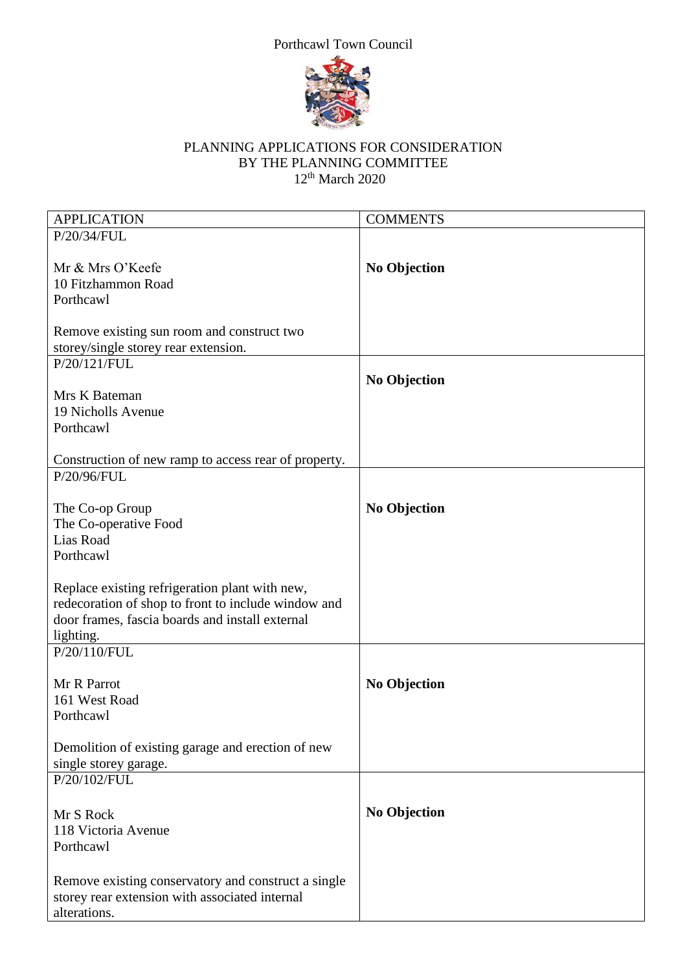



## PLANNING APPLICATIONS FOR CONSIDERATION BY THE PLANNING COMMITTEE 12th March 2020

| <b>APPLICATION</b>                                   | <b>COMMENTS</b>     |
|------------------------------------------------------|---------------------|
| P/20/34/FUL                                          |                     |
|                                                      |                     |
| Mr & Mrs O'Keefe                                     | <b>No Objection</b> |
| 10 Fitzhammon Road                                   |                     |
| Porthcawl                                            |                     |
|                                                      |                     |
| Remove existing sun room and construct two           |                     |
| storey/single storey rear extension.                 |                     |
| P/20/121/FUL                                         |                     |
|                                                      | <b>No Objection</b> |
| Mrs K Bateman                                        |                     |
| 19 Nicholls Avenue                                   |                     |
| Porthcawl                                            |                     |
|                                                      |                     |
| Construction of new ramp to access rear of property. |                     |
| P/20/96/FUL                                          |                     |
|                                                      |                     |
| The Co-op Group                                      | <b>No Objection</b> |
| The Co-operative Food                                |                     |
| Lias Road                                            |                     |
| Porthcawl                                            |                     |
|                                                      |                     |
| Replace existing refrigeration plant with new,       |                     |
| redecoration of shop to front to include window and  |                     |
| door frames, fascia boards and install external      |                     |
| lighting.                                            |                     |
| P/20/110/FUL                                         |                     |
|                                                      |                     |
| Mr R Parrot                                          | <b>No Objection</b> |
| 161 West Road                                        |                     |
| Porthcawl                                            |                     |
|                                                      |                     |
| Demolition of existing garage and erection of new    |                     |
| single storey garage.                                |                     |
| P/20/102/FUL                                         |                     |
|                                                      |                     |
| Mr S Rock                                            | <b>No Objection</b> |
| 118 Victoria Avenue                                  |                     |
| Porthcawl                                            |                     |
|                                                      |                     |
|                                                      |                     |
| Remove existing conservatory and construct a single  |                     |
| storey rear extension with associated internal       |                     |
| alterations.                                         |                     |